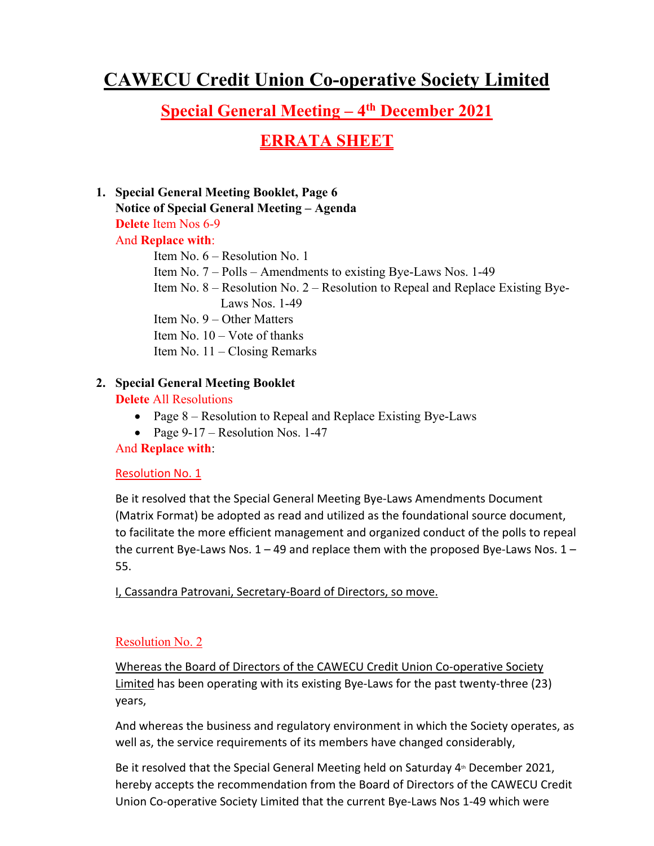# **CAWECU Credit Union Co-operative Society Limited**

### **Special General Meeting – 4th December 2021**

### **ERRATA SHEET**

**1. Special General Meeting Booklet, Page 6 Notice of Special General Meeting – Agenda Delete** Item Nos 6-9 And **Replace with**: Item No. 6 – Resolution No. 1 Item No. 7 – Polls – Amendments to existing Bye-Laws Nos. 1-49

Item No. 8 – Resolution No. 2 – Resolution to Repeal and Replace Existing Bye-Laws Nos. 1-49

Item No. 9 – Other Matters

Item No.  $10 -$  Vote of thanks

Item No. 11 – Closing Remarks

# **2. Special General Meeting Booklet**

**Delete** All Resolutions

- Page  $8$  Resolution to Repeal and Replace Existing Bye-Laws
- Page  $9-17$  Resolution Nos. 1-47

And **Replace with**:

#### Resolution No. 1

Be it resolved that the Special General Meeting Bye‐Laws Amendments Document (Matrix Format) be adopted as read and utilized as the foundational source document, to facilitate the more efficient management and organized conduct of the polls to repeal the current Bye-Laws Nos.  $1 - 49$  and replace them with the proposed Bye-Laws Nos.  $1 -$ 55.

I, Cassandra Patrovani, Secretary-Board of Directors, so move.

#### Resolution No. 2

Whereas the Board of Directors of the CAWECU Credit Union Co‐operative Society Limited has been operating with its existing Bye‐Laws for the past twenty‐three (23) years,

And whereas the business and regulatory environment in which the Society operates, as well as, the service requirements of its members have changed considerably,

Be it resolved that the Special General Meeting held on Saturday  $4<sup>th</sup>$  December 2021, hereby accepts the recommendation from the Board of Directors of the CAWECU Credit Union Co‐operative Society Limited that the current Bye‐Laws Nos 1‐49 which were